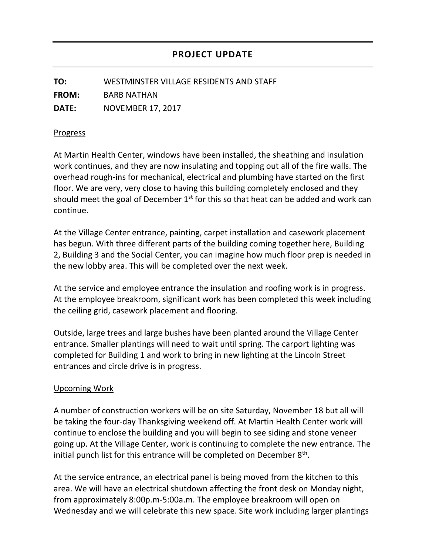**TO:** WESTMINSTER VILLAGE RESIDENTS AND STAFF **FROM:** BARB NATHAN **DATE:** NOVEMBER 17, 2017

## Progress

At Martin Health Center, windows have been installed, the sheathing and insulation work continues, and they are now insulating and topping out all of the fire walls. The overhead rough-ins for mechanical, electrical and plumbing have started on the first floor. We are very, very close to having this building completely enclosed and they should meet the goal of December  $1<sup>st</sup>$  for this so that heat can be added and work can continue.

At the Village Center entrance, painting, carpet installation and casework placement has begun. With three different parts of the building coming together here, Building 2, Building 3 and the Social Center, you can imagine how much floor prep is needed in the new lobby area. This will be completed over the next week.

At the service and employee entrance the insulation and roofing work is in progress. At the employee breakroom, significant work has been completed this week including the ceiling grid, casework placement and flooring.

Outside, large trees and large bushes have been planted around the Village Center entrance. Smaller plantings will need to wait until spring. The carport lighting was completed for Building 1 and work to bring in new lighting at the Lincoln Street entrances and circle drive is in progress.

## Upcoming Work

A number of construction workers will be on site Saturday, November 18 but all will be taking the four-day Thanksgiving weekend off. At Martin Health Center work will continue to enclose the building and you will begin to see siding and stone veneer going up. At the Village Center, work is continuing to complete the new entrance. The initial punch list for this entrance will be completed on December  $8<sup>th</sup>$ .

At the service entrance, an electrical panel is being moved from the kitchen to this area. We will have an electrical shutdown affecting the front desk on Monday night, from approximately 8:00p.m-5:00a.m. The employee breakroom will open on Wednesday and we will celebrate this new space. Site work including larger plantings